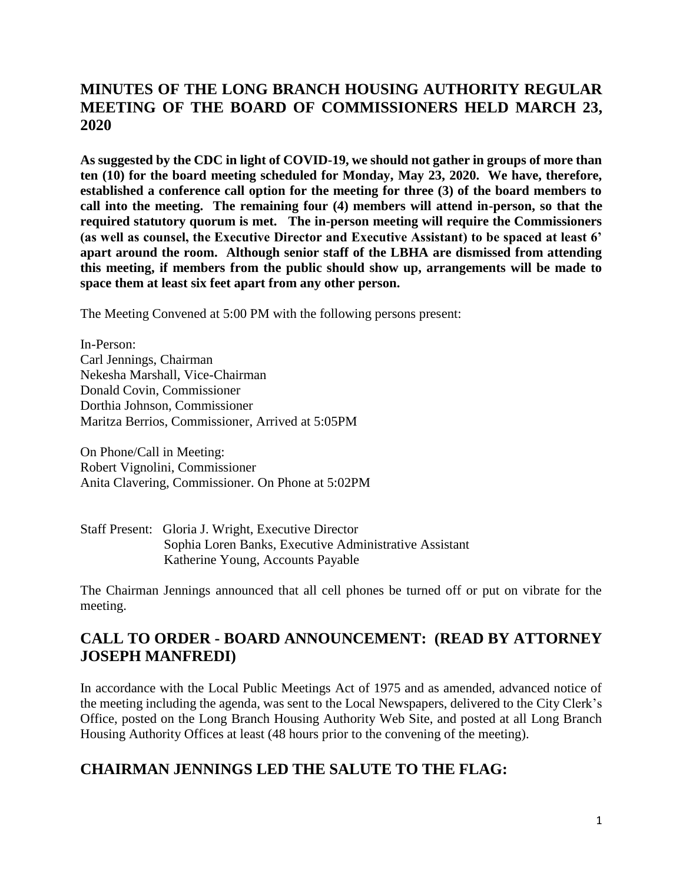# **MINUTES OF THE LONG BRANCH HOUSING AUTHORITY REGULAR MEETING OF THE BOARD OF COMMISSIONERS HELD MARCH 23, 2020**

**As suggested by the CDC in light of COVID-19, we should not gather in groups of more than ten (10) for the board meeting scheduled for Monday, May 23, 2020. We have, therefore, established a conference call option for the meeting for three (3) of the board members to call into the meeting. The remaining four (4) members will attend in-person, so that the required statutory quorum is met. The in-person meeting will require the Commissioners (as well as counsel, the Executive Director and Executive Assistant) to be spaced at least 6' apart around the room. Although senior staff of the LBHA are dismissed from attending this meeting, if members from the public should show up, arrangements will be made to space them at least six feet apart from any other person.**

The Meeting Convened at 5:00 PM with the following persons present:

In-Person: Carl Jennings, Chairman Nekesha Marshall, Vice-Chairman Donald Covin, Commissioner Dorthia Johnson, Commissioner Maritza Berrios, Commissioner, Arrived at 5:05PM

On Phone/Call in Meeting: Robert Vignolini, Commissioner Anita Clavering, Commissioner. On Phone at 5:02PM

#### Staff Present: Gloria J. Wright, Executive Director Sophia Loren Banks, Executive Administrative Assistant Katherine Young, Accounts Payable

The Chairman Jennings announced that all cell phones be turned off or put on vibrate for the meeting.

### **CALL TO ORDER - BOARD ANNOUNCEMENT: (READ BY ATTORNEY JOSEPH MANFREDI)**

In accordance with the Local Public Meetings Act of 1975 and as amended, advanced notice of the meeting including the agenda, was sent to the Local Newspapers, delivered to the City Clerk's Office, posted on the Long Branch Housing Authority Web Site, and posted at all Long Branch Housing Authority Offices at least (48 hours prior to the convening of the meeting).

### **CHAIRMAN JENNINGS LED THE SALUTE TO THE FLAG:**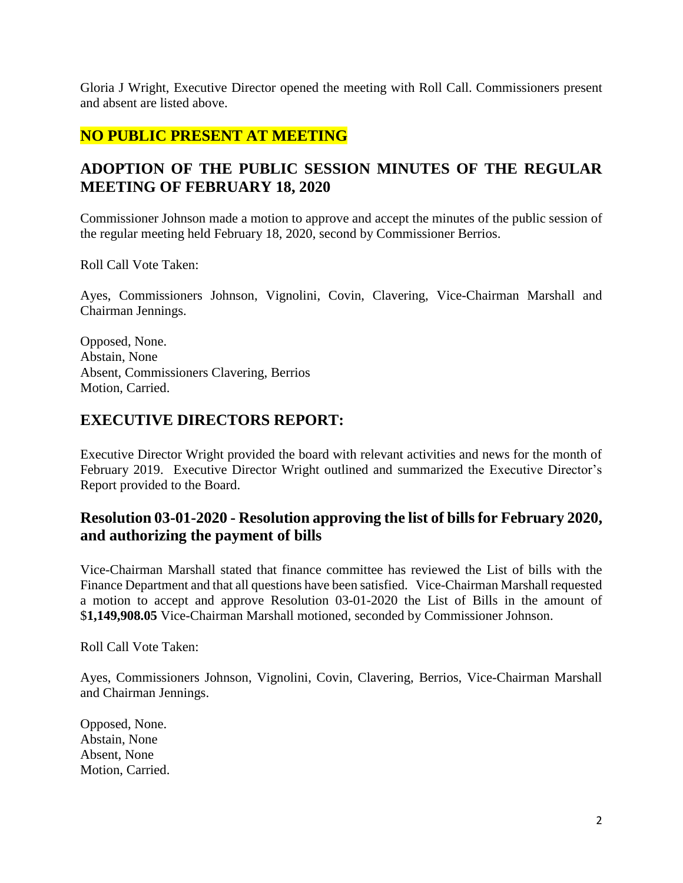Gloria J Wright, Executive Director opened the meeting with Roll Call. Commissioners present and absent are listed above.

### **NO PUBLIC PRESENT AT MEETING**

# **ADOPTION OF THE PUBLIC SESSION MINUTES OF THE REGULAR MEETING OF FEBRUARY 18, 2020**

Commissioner Johnson made a motion to approve and accept the minutes of the public session of the regular meeting held February 18, 2020, second by Commissioner Berrios.

Roll Call Vote Taken:

Ayes, Commissioners Johnson, Vignolini, Covin, Clavering, Vice-Chairman Marshall and Chairman Jennings.

Opposed, None. Abstain, None Absent, Commissioners Clavering, Berrios Motion, Carried.

#### **EXECUTIVE DIRECTORS REPORT:**

Executive Director Wright provided the board with relevant activities and news for the month of February 2019. Executive Director Wright outlined and summarized the Executive Director's Report provided to the Board.

# **Resolution 03-01-2020 - Resolution approving the list of bills for February 2020, and authorizing the payment of bills**

Vice-Chairman Marshall stated that finance committee has reviewed the List of bills with the Finance Department and that all questions have been satisfied. Vice-Chairman Marshall requested a motion to accept and approve Resolution 03-01-2020 the List of Bills in the amount of \$**1,149,908.05** Vice-Chairman Marshall motioned, seconded by Commissioner Johnson.

Roll Call Vote Taken:

Ayes, Commissioners Johnson, Vignolini, Covin, Clavering, Berrios, Vice-Chairman Marshall and Chairman Jennings.

Opposed, None. Abstain, None Absent, None Motion, Carried.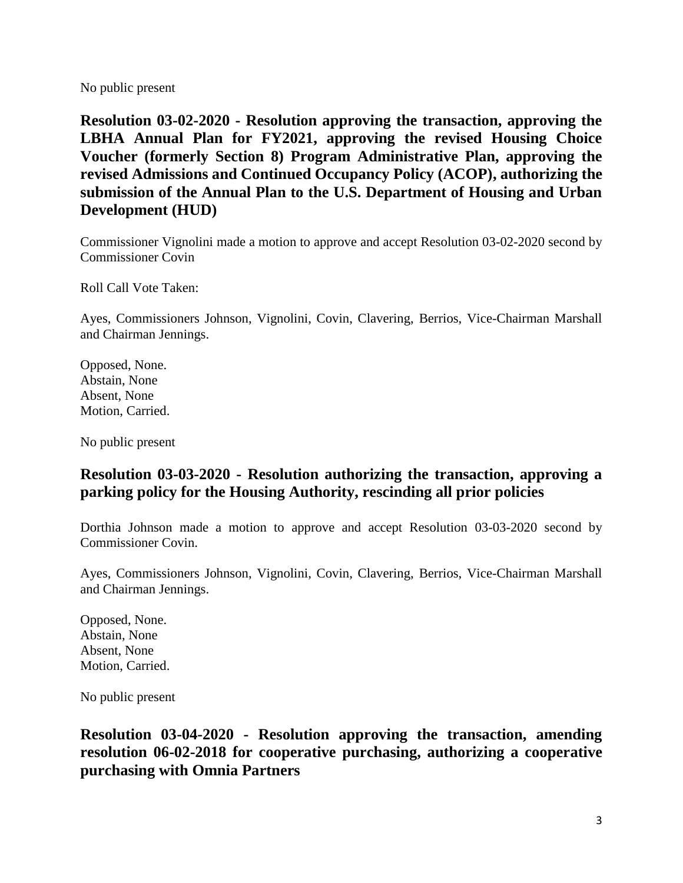No public present

**Resolution 03-02-2020 - Resolution approving the transaction, approving the LBHA Annual Plan for FY2021, approving the revised Housing Choice Voucher (formerly Section 8) Program Administrative Plan, approving the revised Admissions and Continued Occupancy Policy (ACOP), authorizing the submission of the Annual Plan to the U.S. Department of Housing and Urban Development (HUD)**

Commissioner Vignolini made a motion to approve and accept Resolution 03-02-2020 second by Commissioner Covin

Roll Call Vote Taken:

Ayes, Commissioners Johnson, Vignolini, Covin, Clavering, Berrios, Vice-Chairman Marshall and Chairman Jennings.

Opposed, None. Abstain, None Absent, None Motion, Carried.

No public present

# **Resolution 03-03-2020 - Resolution authorizing the transaction, approving a parking policy for the Housing Authority, rescinding all prior policies**

Dorthia Johnson made a motion to approve and accept Resolution 03-03-2020 second by Commissioner Covin.

Ayes, Commissioners Johnson, Vignolini, Covin, Clavering, Berrios, Vice-Chairman Marshall and Chairman Jennings.

Opposed, None. Abstain, None Absent, None Motion, Carried.

No public present

**Resolution 03-04-2020 - Resolution approving the transaction, amending resolution 06-02-2018 for cooperative purchasing, authorizing a cooperative purchasing with Omnia Partners**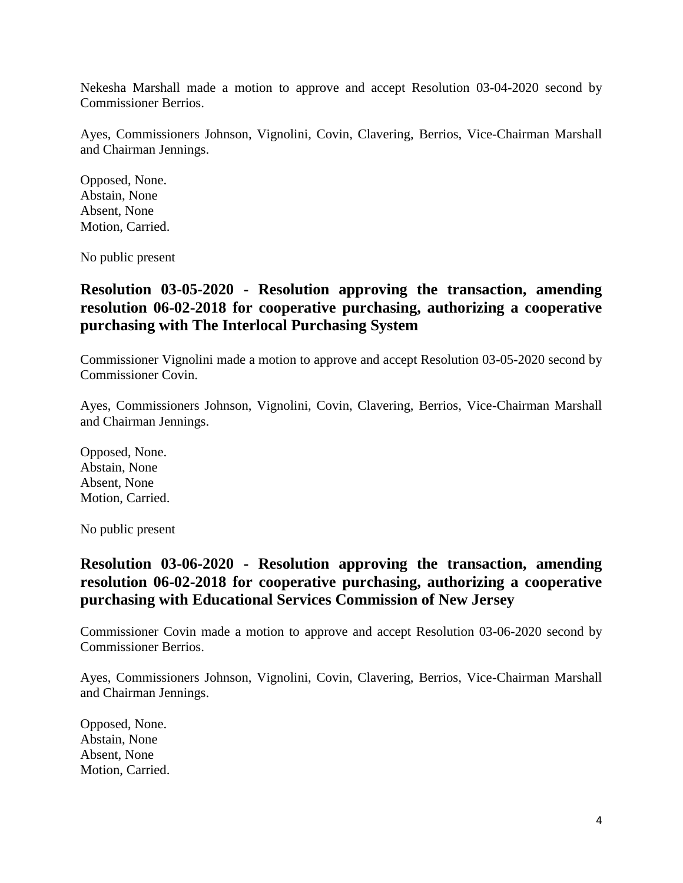Nekesha Marshall made a motion to approve and accept Resolution 03-04-2020 second by Commissioner Berrios.

Ayes, Commissioners Johnson, Vignolini, Covin, Clavering, Berrios, Vice-Chairman Marshall and Chairman Jennings.

Opposed, None. Abstain, None Absent, None Motion, Carried.

No public present

### **Resolution 03-05-2020 - Resolution approving the transaction, amending resolution 06-02-2018 for cooperative purchasing, authorizing a cooperative purchasing with The Interlocal Purchasing System**

Commissioner Vignolini made a motion to approve and accept Resolution 03-05-2020 second by Commissioner Covin.

Ayes, Commissioners Johnson, Vignolini, Covin, Clavering, Berrios, Vice-Chairman Marshall and Chairman Jennings.

Opposed, None. Abstain, None Absent, None Motion, Carried.

No public present

### **Resolution 03-06-2020 - Resolution approving the transaction, amending resolution 06-02-2018 for cooperative purchasing, authorizing a cooperative purchasing with Educational Services Commission of New Jersey**

Commissioner Covin made a motion to approve and accept Resolution 03-06-2020 second by Commissioner Berrios.

Ayes, Commissioners Johnson, Vignolini, Covin, Clavering, Berrios, Vice-Chairman Marshall and Chairman Jennings.

Opposed, None. Abstain, None Absent, None Motion, Carried.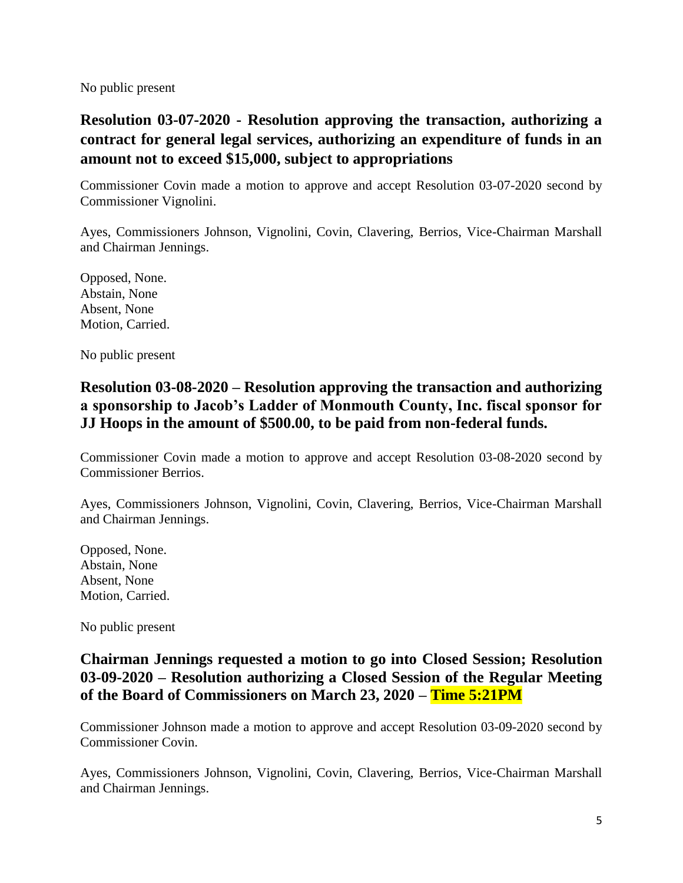No public present

# **Resolution 03-07-2020 - Resolution approving the transaction, authorizing a contract for general legal services, authorizing an expenditure of funds in an amount not to exceed \$15,000, subject to appropriations**

Commissioner Covin made a motion to approve and accept Resolution 03-07-2020 second by Commissioner Vignolini.

Ayes, Commissioners Johnson, Vignolini, Covin, Clavering, Berrios, Vice-Chairman Marshall and Chairman Jennings.

Opposed, None. Abstain, None Absent, None Motion, Carried.

No public present

# **Resolution 03-08-2020 – Resolution approving the transaction and authorizing a sponsorship to Jacob's Ladder of Monmouth County, Inc. fiscal sponsor for JJ Hoops in the amount of \$500.00, to be paid from non-federal funds.**

Commissioner Covin made a motion to approve and accept Resolution 03-08-2020 second by Commissioner Berrios.

Ayes, Commissioners Johnson, Vignolini, Covin, Clavering, Berrios, Vice-Chairman Marshall and Chairman Jennings.

Opposed, None. Abstain, None Absent, None Motion, Carried.

No public present

# **Chairman Jennings requested a motion to go into Closed Session; Resolution 03-09-2020 – Resolution authorizing a Closed Session of the Regular Meeting of the Board of Commissioners on March 23, 2020 – Time 5:21PM**

Commissioner Johnson made a motion to approve and accept Resolution 03-09-2020 second by Commissioner Covin.

Ayes, Commissioners Johnson, Vignolini, Covin, Clavering, Berrios, Vice-Chairman Marshall and Chairman Jennings.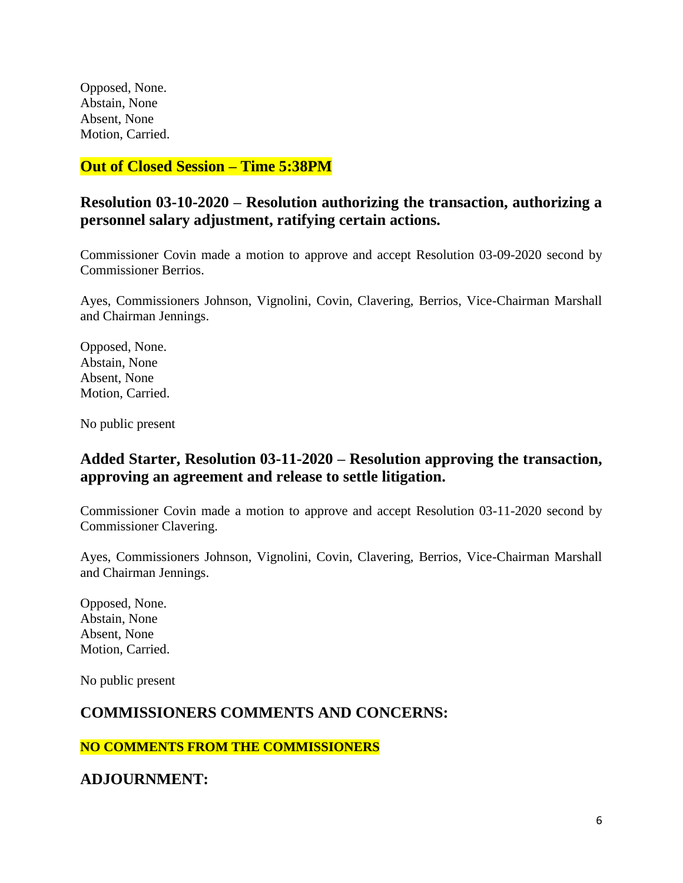Opposed, None. Abstain, None Absent, None Motion, Carried.

**Out of Closed Session – Time 5:38PM**

# **Resolution 03-10-2020 – Resolution authorizing the transaction, authorizing a personnel salary adjustment, ratifying certain actions.**

Commissioner Covin made a motion to approve and accept Resolution 03-09-2020 second by Commissioner Berrios.

Ayes, Commissioners Johnson, Vignolini, Covin, Clavering, Berrios, Vice-Chairman Marshall and Chairman Jennings.

Opposed, None. Abstain, None Absent, None Motion, Carried.

No public present

# **Added Starter, Resolution 03-11-2020 – Resolution approving the transaction, approving an agreement and release to settle litigation.**

Commissioner Covin made a motion to approve and accept Resolution 03-11-2020 second by Commissioner Clavering.

Ayes, Commissioners Johnson, Vignolini, Covin, Clavering, Berrios, Vice-Chairman Marshall and Chairman Jennings.

Opposed, None. Abstain, None Absent, None Motion, Carried.

No public present

### **COMMISSIONERS COMMENTS AND CONCERNS:**

**NO COMMENTS FROM THE COMMISSIONERS**

**ADJOURNMENT:**